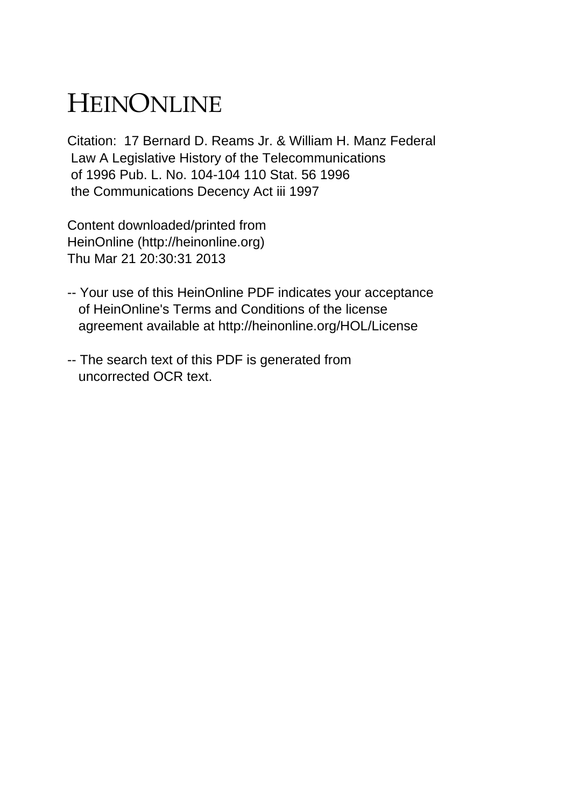## HEINONLINE

Citation: 17 Bernard D. Reams Jr. & William H. Manz Federal Law A Legislative History of the Telecommunications of 1996 Pub. L. No. 104-104 110 Stat. 56 1996 the Communications Decency Act iii 1997

Content downloaded/printed from HeinOnline (http://heinonline.org) Thu Mar 21 20:30:31 2013

- -- Your use of this HeinOnline PDF indicates your acceptance of HeinOnline's Terms and Conditions of the license agreement available at http://heinonline.org/HOL/License
- -- The search text of this PDF is generated from uncorrected OCR text.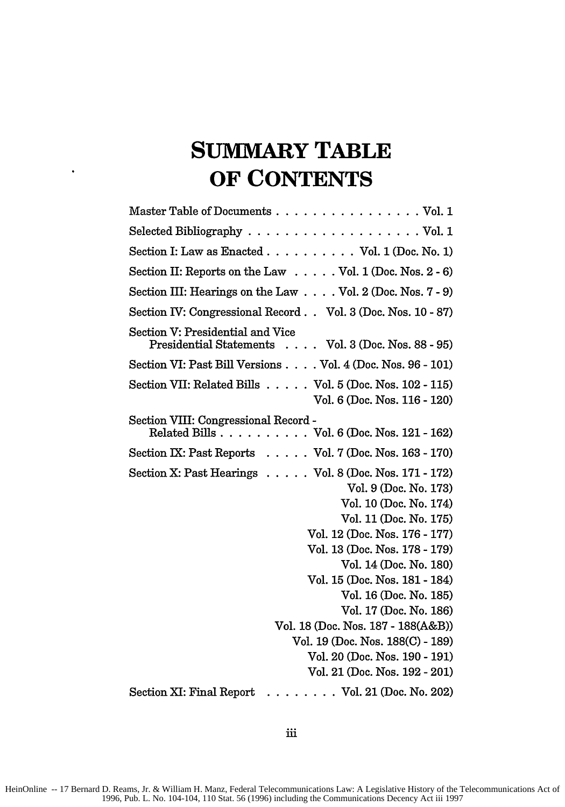## **SUMMARY TABLE OF CONTENTS**

 $\ddot{\phantom{0}}$ 

| Master Table of Documents Vol. 1                                                                                                                                                                                                                                                                                                                                                                                                                                                    |
|-------------------------------------------------------------------------------------------------------------------------------------------------------------------------------------------------------------------------------------------------------------------------------------------------------------------------------------------------------------------------------------------------------------------------------------------------------------------------------------|
| Selected Bibliography $\ldots \ldots \ldots \ldots \ldots \ldots \ldots$ Vol. 1                                                                                                                                                                                                                                                                                                                                                                                                     |
| Section I: Law as Enacted Vol. $1$ (Doc. No. 1)                                                                                                                                                                                                                                                                                                                                                                                                                                     |
| Section II: Reports on the Law $\dots$ . Vol. 1 (Doc. Nos. 2 - 6)                                                                                                                                                                                                                                                                                                                                                                                                                   |
| Section III: Hearings on the Law Vol. 2 (Doc. Nos. 7 - 9)                                                                                                                                                                                                                                                                                                                                                                                                                           |
| Section IV: Congressional Record Vol. 3 (Doc. Nos. 10 - 87)                                                                                                                                                                                                                                                                                                                                                                                                                         |
| Section V: Presidential and Vice<br>Presidential Statements Vol. 3 (Doc. Nos. 88 - 95)                                                                                                                                                                                                                                                                                                                                                                                              |
| Section VI: Past Bill Versions Vol. 4 (Doc. Nos. 96 - 101)                                                                                                                                                                                                                                                                                                                                                                                                                          |
| Section VII: Related Bills $\ldots$ . Vol. 5 (Doc. Nos. 102 - 115)<br>Vol. 6 (Doc. Nos. 116 - 120)                                                                                                                                                                                                                                                                                                                                                                                  |
| Section VIII: Congressional Record -<br>Related Bills Vol. 6 (Doc. Nos. 121 - 162)                                                                                                                                                                                                                                                                                                                                                                                                  |
| Section IX: Past Reports $\ldots$ . Vol. 7 (Doc. Nos. 163 - 170)                                                                                                                                                                                                                                                                                                                                                                                                                    |
| Section X: Past Hearings $\ldots$ . $\ldots$ Vol. 8 (Doc. Nos. 171 - 172)<br>Vol. 9 (Doc. No. 173)<br>Vol. 10 (Doc. No. 174)<br>Vol. 11 (Doc. No. 175)<br>Vol. 12 (Doc. Nos. 176 - 177)<br>Vol. 13 (Doc. Nos. 178 - 179)<br>Vol. 14 (Doc. No. 180)<br>Vol. 15 (Doc. Nos. 181 - 184)<br>Vol. 16 (Doc. No. 185)<br>Vol. 17 (Doc. No. 186)<br>Vol. 18 (Doc. Nos. 187 - 188(A&B))<br>Vol. 19 (Doc. Nos. 188(C) - 189)<br>Vol. 20 (Doc. Nos. 190 - 191)<br>Vol. 21 (Doc. Nos. 192 - 201) |
| Section XI: Final Report<br>. Vol. 21 (Doc. No. 202)                                                                                                                                                                                                                                                                                                                                                                                                                                |